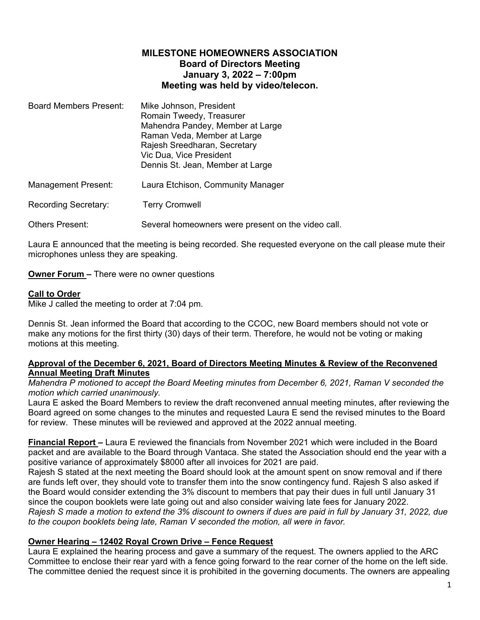# **MILESTONE HOMEOWNERS ASSOCIATION Board of Directors Meeting January 3, 2022 – 7:00pm Meeting was held by video/telecon.**

| <b>Board Members Present:</b> | Mike Johnson, President          |
|-------------------------------|----------------------------------|
|                               | Romain Tweedy, Treasurer         |
|                               | Mahendra Pandey, Member at Large |
|                               | Raman Veda, Member at Large      |
|                               | Rajesh Sreedharan, Secretary     |
|                               | Vic Dua, Vice President          |
|                               | Dennis St. Jean, Member at Large |
|                               |                                  |

Management Present: Laura Etchison, Community Manager

Recording Secretary: Terry Cromwell

Others Present: Several homeowners were present on the video call.

Laura E announced that the meeting is being recorded. She requested everyone on the call please mute their microphones unless they are speaking.

**Owner Forum –** There were no owner questions

## **Call to Order**

Mike J called the meeting to order at 7:04 pm.

Dennis St. Jean informed the Board that according to the CCOC, new Board members should not vote or make any motions for the first thirty (30) days of their term. Therefore, he would not be voting or making motions at this meeting.

### **Approval of the December 6, 2021, Board of Directors Meeting Minutes & Review of the Reconvened Annual Meeting Draft Minutes**

*Mahendra P motioned to accept the Board Meeting minutes from December 6, 2021, Raman V seconded the motion which carried unanimously.* 

Laura E asked the Board Members to review the draft reconvened annual meeting minutes, after reviewing the Board agreed on some changes to the minutes and requested Laura E send the revised minutes to the Board for review. These minutes will be reviewed and approved at the 2022 annual meeting.

**Financial Report –** Laura E reviewed the financials from November 2021 which were included in the Board packet and are available to the Board through Vantaca. She stated the Association should end the year with a positive variance of approximately \$8000 after all invoices for 2021 are paid.

Rajesh S stated at the next meeting the Board should look at the amount spent on snow removal and if there are funds left over, they should vote to transfer them into the snow contingency fund. Rajesh S also asked if the Board would consider extending the 3% discount to members that pay their dues in full until January 31 since the coupon booklets were late going out and also consider waiving late fees for January 2022. *Rajesh S made a motion to extend the 3% discount to owners if dues are paid in full by January 31, 2022, due to the coupon booklets being late, Raman V seconded the motion, all were in favor.*

### **Owner Hearing – 12402 Royal Crown Drive – Fence Request**

Laura E explained the hearing process and gave a summary of the request. The owners applied to the ARC Committee to enclose their rear yard with a fence going forward to the rear corner of the home on the left side. The committee denied the request since it is prohibited in the governing documents. The owners are appealing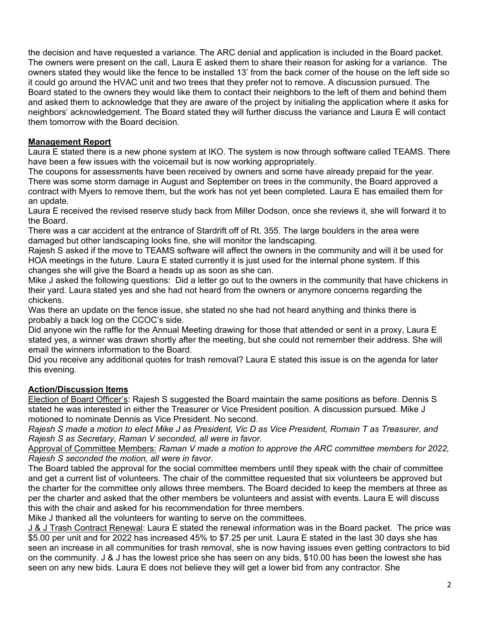the decision and have requested a variance. The ARC denial and application is included in the Board packet. The owners were present on the call, Laura E asked them to share their reason for asking for a variance. The owners stated they would like the fence to be installed 13' from the back corner of the house on the left side so it could go around the HVAC unit and two trees that they prefer not to remove. A discussion pursued. The Board stated to the owners they would like them to contact their neighbors to the left of them and behind them and asked them to acknowledge that they are aware of the project by initialing the application where it asks for neighbors' acknowledgement. The Board stated they will further discuss the variance and Laura E will contact them tomorrow with the Board decision.

## **Management Report**

Laura E stated there is a new phone system at IKO. The system is now through software called TEAMS. There have been a few issues with the voicemail but is now working appropriately.

The coupons for assessments have been received by owners and some have already prepaid for the year. There was some storm damage in August and September on trees in the community, the Board approved a contract with Myers to remove them, but the work has not yet been completed. Laura E has emailed them for an update.

Laura E received the revised reserve study back from Miller Dodson, once she reviews it, she will forward it to the Board.

There was a car accident at the entrance of Stardrift off of Rt. 355. The large boulders in the area were damaged but other landscaping looks fine, she will monitor the landscaping.

Rajesh S asked if the move to TEAMS software will affect the owners in the community and will it be used for HOA meetings in the future. Laura E stated currently it is just used for the internal phone system. If this changes she will give the Board a heads up as soon as she can.

Mike J asked the following questions: Did a letter go out to the owners in the community that have chickens in their yard. Laura stated yes and she had not heard from the owners or anymore concerns regarding the chickens.

Was there an update on the fence issue, she stated no she had not heard anything and thinks there is probably a back log on the CCOC's side.

Did anyone win the raffle for the Annual Meeting drawing for those that attended or sent in a proxy, Laura E stated yes, a winner was drawn shortly after the meeting, but she could not remember their address. She will email the winners information to the Board.

Did you receive any additional quotes for trash removal? Laura E stated this issue is on the agenda for later this evening.

# **Action/Discussion Items**

Election of Board Officer's: Rajesh S suggested the Board maintain the same positions as before. Dennis S stated he was interested in either the Treasurer or Vice President position. A discussion pursued. Mike J motioned to nominate Dennis as Vice President. No second.

*Rajesh S made a motion to elect Mike J as President, Vic D as Vice President, Romain T as Treasurer, and Rajesh S as Secretary, Raman V seconded, all were in favor.*

Approval of Committee Members: *Raman V made a motion to approve the ARC committee members for 2022, Rajesh S seconded the motion, all were in favor.* 

The Board tabled the approval for the social committee members until they speak with the chair of committee and get a current list of volunteers. The chair of the committee requested that six volunteers be approved but the charter for the committee only allows three members. The Board decided to keep the members at three as per the charter and asked that the other members be volunteers and assist with events. Laura E will discuss this with the chair and asked for his recommendation for three members.

Mike J thanked all the volunteers for wanting to serve on the committees.

J & J Trash Contract Renewal: Laura E stated the renewal information was in the Board packet. The price was \$5.00 per unit and for 2022 has increased 45% to \$7.25 per unit. Laura E stated in the last 30 days she has seen an increase in all communities for trash removal, she is now having issues even getting contractors to bid on the community. J & J has the lowest price she has seen on any bids, \$10.00 has been the lowest she has seen on any new bids. Laura E does not believe they will get a lower bid from any contractor. She